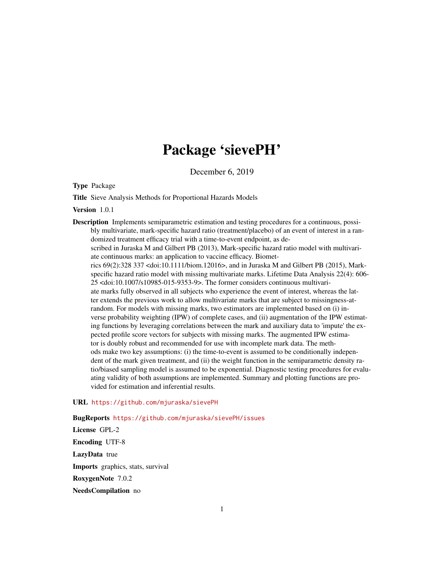# Package 'sievePH'

December 6, 2019

Type Package

Title Sieve Analysis Methods for Proportional Hazards Models

Version 1.0.1

Description Implements semiparametric estimation and testing procedures for a continuous, possibly multivariate, mark-specific hazard ratio (treatment/placebo) of an event of interest in a randomized treatment efficacy trial with a time-to-event endpoint, as described in Juraska M and Gilbert PB (2013), Mark-specific hazard ratio model with multivariate continuous marks: an application to vaccine efficacy. Biometrics 69(2):328 337 <doi:10.1111/biom.12016>, and in Juraska M and Gilbert PB (2015), Markspecific hazard ratio model with missing multivariate marks. Lifetime Data Analysis 22(4): 606- 25 <doi:10.1007/s10985-015-9353-9>. The former considers continuous multivariate marks fully observed in all subjects who experience the event of interest, whereas the latter extends the previous work to allow multivariate marks that are subject to missingness-atrandom. For models with missing marks, two estimators are implemented based on (i) inverse probability weighting (IPW) of complete cases, and (ii) augmentation of the IPW estimating functions by leveraging correlations between the mark and auxiliary data to 'impute' the expected profile score vectors for subjects with missing marks. The augmented IPW estimator is doubly robust and recommended for use with incomplete mark data. The methods make two key assumptions: (i) the time-to-event is assumed to be conditionally independent of the mark given treatment, and (ii) the weight function in the semiparametric density ratio/biased sampling model is assumed to be exponential. Diagnostic testing procedures for evaluating validity of both assumptions are implemented. Summary and plotting functions are provided for estimation and inferential results.

#### URL <https://github.com/mjuraska/sievePH>

BugReports <https://github.com/mjuraska/sievePH/issues>

License GPL-2 Encoding UTF-8 LazyData true Imports graphics, stats, survival RoxygenNote 7.0.2 NeedsCompilation no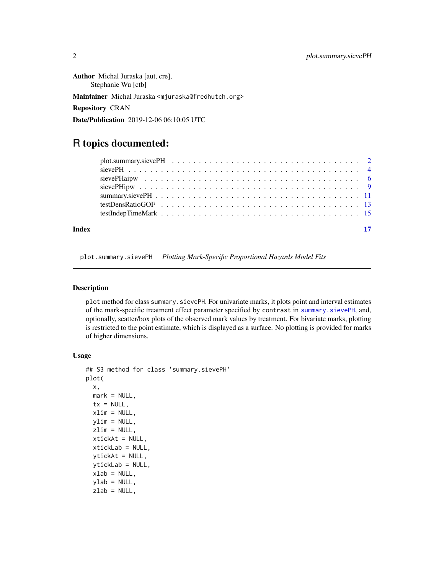<span id="page-1-0"></span>Author Michal Juraska [aut, cre], Stephanie Wu [ctb] Maintainer Michal Juraska <mjuraska@fredhutch.org> Repository CRAN Date/Publication 2019-12-06 06:10:05 UTC

## R topics documented:

| Index | -17 |  |
|-------|-----|--|

<span id="page-1-1"></span>plot.summary.sievePH *Plotting Mark-Specific Proportional Hazards Model Fits*

#### Description

plot method for class summary.sievePH. For univariate marks, it plots point and interval estimates of the mark-specific treatment effect parameter specified by contrast in [summary.sievePH](#page-10-1), and, optionally, scatter/box plots of the observed mark values by treatment. For bivariate marks, plotting is restricted to the point estimate, which is displayed as a surface. No plotting is provided for marks of higher dimensions.

#### Usage

```
## S3 method for class 'summary.sievePH'
plot(
 x,
 mark = NULL,
 tx = NULL,xlim = NULL,ylim = NULL,
  zlim = NULL,
 xtickAt = NULL,
  xtickLab = NULL,
 ytickAt = NULL,
 ytickLab = NULL,
 xlab = NULL,
 ylab = NULL,
  zlab = NULL,
```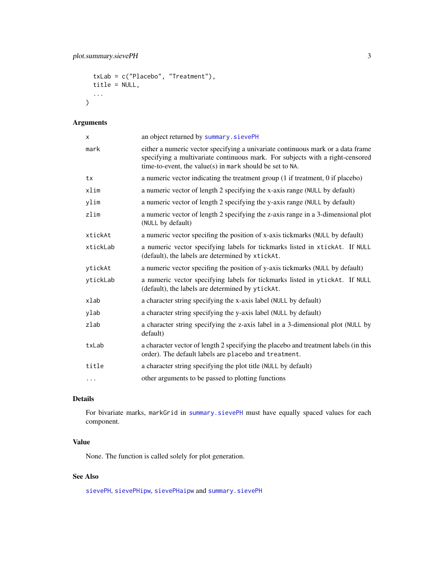```
txLab = c("Placebo", "Treatment"),
title = NULL,
...
```
#### Arguments

 $\mathcal{L}$ 

| X        | an object returned by summary. sievePH                                                                                                                                                                                       |
|----------|------------------------------------------------------------------------------------------------------------------------------------------------------------------------------------------------------------------------------|
| mark     | either a numeric vector specifying a univariate continuous mark or a data frame<br>specifying a multivariate continuous mark. For subjects with a right-censored<br>time-to-event, the value(s) in mark should be set to NA. |
| tx       | a numeric vector indicating the treatment group (1 if treatment, 0 if placebo)                                                                                                                                               |
| xlim     | a numeric vector of length 2 specifying the x-axis range (NULL by default)                                                                                                                                                   |
| ylim     | a numeric vector of length 2 specifying the y-axis range (NULL by default)                                                                                                                                                   |
| zlim     | a numeric vector of length 2 specifying the z-axis range in a 3-dimensional plot<br>(NULL by default)                                                                                                                        |
| xtickAt  | a numeric vector specifing the position of x-axis tickmarks (NULL by default)                                                                                                                                                |
| xtickLab | a numeric vector specifying labels for tickmarks listed in xtickAt. If NULL<br>(default), the labels are determined by xtickAt.                                                                                              |
| vtickAt  | a numeric vector specifing the position of y-axis tickmarks (NULL by default)                                                                                                                                                |
| vtickLab | a numeric vector specifying labels for tickmarks listed in ytickAt. If NULL<br>(default), the labels are determined by ytickAt.                                                                                              |
| xlab     | a character string specifying the x-axis label (NULL by default)                                                                                                                                                             |
| ylab     | a character string specifying the y-axis label (NULL by default)                                                                                                                                                             |
| zlab     | a character string specifying the z-axis label in a 3-dimensional plot (NULL by<br>default)                                                                                                                                  |
| txLab    | a character vector of length 2 specifying the placebo and treatment labels (in this<br>order). The default labels are placebo and treatment.                                                                                 |
| title    | a character string specifying the plot title (NULL by default)                                                                                                                                                               |
| $\cdots$ | other arguments to be passed to plotting functions                                                                                                                                                                           |

### Details

For bivariate marks, markGrid in [summary.sievePH](#page-10-1) must have equally spaced values for each component.

#### Value

None. The function is called solely for plot generation.

### See Also

[sievePH](#page-3-1), [sievePHipw](#page-8-1), [sievePHaipw](#page-5-1) and [summary.sievePH](#page-10-1)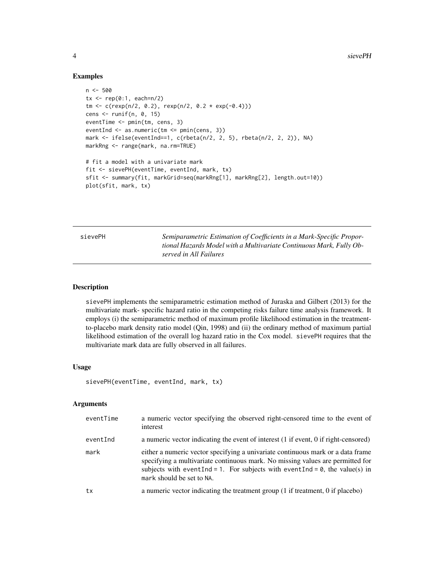#### Examples

```
n < -500tx \leq rep(0:1, each=n/2)
tm < -c(rexp(n/2, 0.2), rexp(n/2, 0.2 * exp(-0.4)))
cens <- runif(n, 0, 15)
eventTime <- pmin(tm, cens, 3)
eventInd <- as.numeric(tm <= pmin(cens, 3))
mark <- ifelse(eventInd==1, c(rbeta(n/2, 2, 5), rbeta(n/2, 2, 2)), NA)
markRng <- range(mark, na.rm=TRUE)
# fit a model with a univariate mark
fit <- sievePH(eventTime, eventInd, mark, tx)
sfit <- summary(fit, markGrid=seq(markRng[1], markRng[2], length.out=10))
plot(sfit, mark, tx)
```
<span id="page-3-1"></span>sievePH *Semiparametric Estimation of Coefficients in a Mark-Specific Proportional Hazards Model with a Multivariate Continuous Mark, Fully Observed in All Failures*

#### **Description**

sievePH implements the semiparametric estimation method of Juraska and Gilbert (2013) for the multivariate mark- specific hazard ratio in the competing risks failure time analysis framework. It employs (i) the semiparametric method of maximum profile likelihood estimation in the treatmentto-placebo mark density ratio model (Qin, 1998) and (ii) the ordinary method of maximum partial likelihood estimation of the overall log hazard ratio in the Cox model. sievePH requires that the multivariate mark data are fully observed in all failures.

#### Usage

```
sievePH(eventTime, eventInd, mark, tx)
```
#### Arguments

| eventTime | a numeric vector specifying the observed right-censored time to the event of<br>interest                                                                                                                                                                                                |
|-----------|-----------------------------------------------------------------------------------------------------------------------------------------------------------------------------------------------------------------------------------------------------------------------------------------|
| eventInd  | a numeric vector indicating the event of interest (1 if event, 0 if right-censored)                                                                                                                                                                                                     |
| mark      | either a numeric vector specifying a univariate continuous mark or a data frame<br>specifying a multivariate continuous mark. No missing values are permitted for<br>subjects with event Ind = 1. For subjects with event Ind = $\theta$ , the value(s) in<br>mark should be set to NA. |
| tx        | a numeric vector indicating the treatment group (1 if treatment, 0 if placebo)                                                                                                                                                                                                          |

<span id="page-3-0"></span>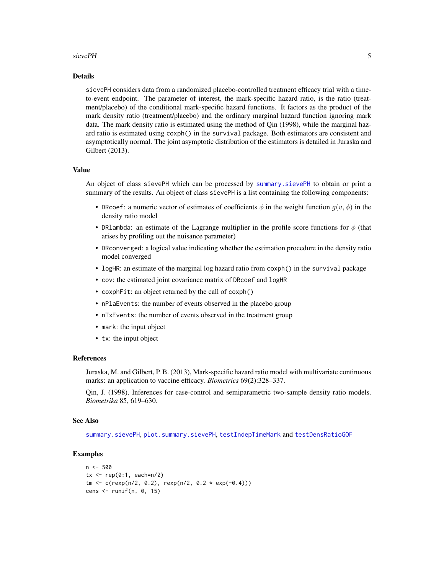#### <span id="page-4-0"></span>sievePH 5

#### Details

sievePH considers data from a randomized placebo-controlled treatment efficacy trial with a timeto-event endpoint. The parameter of interest, the mark-specific hazard ratio, is the ratio (treatment/placebo) of the conditional mark-specific hazard functions. It factors as the product of the mark density ratio (treatment/placebo) and the ordinary marginal hazard function ignoring mark data. The mark density ratio is estimated using the method of Qin (1998), while the marginal hazard ratio is estimated using coxph() in the survival package. Both estimators are consistent and asymptotically normal. The joint asymptotic distribution of the estimators is detailed in Juraska and Gilbert (2013).

#### Value

An object of class sievePH which can be processed by [summary.sievePH](#page-10-1) to obtain or print a summary of the results. An object of class sievePH is a list containing the following components:

- DRcoef: a numeric vector of estimates of coefficients  $\phi$  in the weight function  $g(v, \phi)$  in the density ratio model
- DR1ambda: an estimate of the Lagrange multiplier in the profile score functions for  $\phi$  (that arises by profiling out the nuisance parameter)
- DRconverged: a logical value indicating whether the estimation procedure in the density ratio model converged
- logHR: an estimate of the marginal log hazard ratio from coxph() in the survival package
- cov: the estimated joint covariance matrix of DRcoef and logHR
- coxphFit: an object returned by the call of coxph()
- nPlaEvents: the number of events observed in the placebo group
- nTxEvents: the number of events observed in the treatment group
- mark: the input object
- tx: the input object

#### References

Juraska, M. and Gilbert, P. B. (2013), Mark-specific hazard ratio model with multivariate continuous marks: an application to vaccine efficacy. *Biometrics* 69(2):328–337.

Qin, J. (1998), Inferences for case-control and semiparametric two-sample density ratio models. *Biometrika* 85, 619–630.

#### See Also

[summary.sievePH](#page-10-1), [plot.summary.sievePH](#page-1-1), [testIndepTimeMark](#page-14-1) and [testDensRatioGOF](#page-12-1)

#### Examples

```
n < -500tx < - rep(0:1, each=n/2)tm < -c(rexp(n/2, 0.2), rexp(n/2, 0.2 * exp(-0.4)))
cens \le runif(n, 0, 15)
```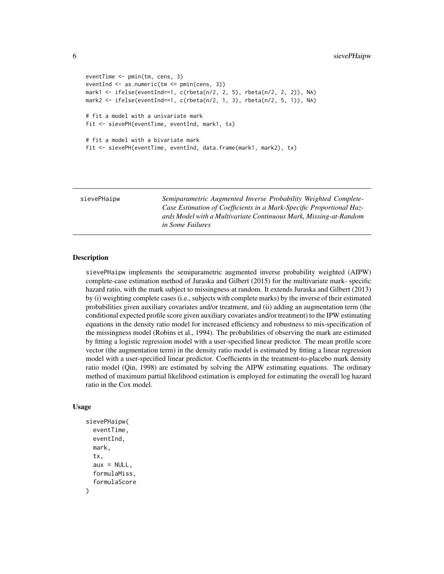```
eventTime <- pmin(tm, cens, 3)
eventInd <- as.numeric(tm <= pmin(cens, 3))
mark1 <- ifelse(eventInd==1, c(rbeta(n/2, 2, 5), rbeta(n/2, 2, 2)), NA)
mark2 <- ifelse(eventInd==1, c(rbeta(n/2, 1, 3), rbeta(n/2, 5, 1)), NA)
# fit a model with a univariate mark
fit <- sievePH(eventTime, eventInd, mark1, tx)
# fit a model with a bivariate mark
fit <- sievePH(eventTime, eventInd, data.frame(mark1, mark2), tx)
```
<span id="page-5-1"></span>sievePHaipw *Semiparametric Augmented Inverse Probability Weighted Complete-Case Estimation of Coefficients in a Mark-Specific Proportional Hazards Model with a Multivariate Continuous Mark, Missing-at-Random in Some Failures*

#### **Description**

sievePHaipw implements the semiparametric augmented inverse probability weighted (AIPW) complete-case estimation method of Juraska and Gilbert (2015) for the multivariate mark- specific hazard ratio, with the mark subject to missingness at random. It extends Juraska and Gilbert (2013) by (i) weighting complete cases (i.e., subjects with complete marks) by the inverse of their estimated probabilities given auxiliary covariates and/or treatment, and (ii) adding an augmentation term (the conditional expected profile score given auxiliary covariates and/or treatment) to the IPW estimating equations in the density ratio model for increased efficiency and robustness to mis-specification of the missingness model (Robins et al., 1994). The probabilities of observing the mark are estimated by fitting a logistic regression model with a user-specified linear predictor. The mean profile score vector (the augmentation term) in the density ratio model is estimated by fitting a linear regression model with a user-specified linear predictor. Coefficients in the treatment-to-placebo mark density ratio model (Qin, 1998) are estimated by solving the AIPW estimating equations. The ordinary method of maximum partial likelihood estimation is employed for estimating the overall log hazard ratio in the Cox model.

#### Usage

```
sievePHaipw(
  eventTime,
  eventInd,
  mark,
  tx,
  aux = NULL,formulaMiss,
  formulaScore
)
```
<span id="page-5-0"></span>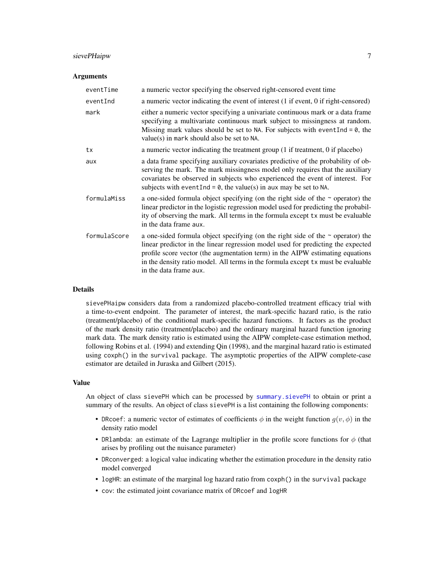#### <span id="page-6-0"></span>sievePHaipw 7

#### **Arguments**

| eventTime    | a numeric vector specifying the observed right-censored event time                                                                                                                                                                                                                                                                                                      |
|--------------|-------------------------------------------------------------------------------------------------------------------------------------------------------------------------------------------------------------------------------------------------------------------------------------------------------------------------------------------------------------------------|
| eventInd     | a numeric vector indicating the event of interest (1 if event, 0 if right-censored)                                                                                                                                                                                                                                                                                     |
| mark         | either a numeric vector specifying a univariate continuous mark or a data frame<br>specifying a multivariate continuous mark subject to missingness at random.<br>Missing mark values should be set to NA. For subjects with event $Ind = 0$ , the<br>value(s) in mark should also be set to NA.                                                                        |
| tx           | a numeric vector indicating the treatment group (1 if treatment, 0 if placebo)                                                                                                                                                                                                                                                                                          |
| aux          | a data frame specifying auxiliary covariates predictive of the probability of ob-<br>serving the mark. The mark missingness model only requires that the auxiliary<br>covariates be observed in subjects who experienced the event of interest. For<br>subjects with event Ind = $\theta$ , the value(s) in aux may be set to NA.                                       |
| formulaMiss  | a one-sided formula object specifying (on the right side of the $\sim$ operator) the<br>linear predictor in the logistic regression model used for predicting the probabil-<br>ity of observing the mark. All terms in the formula except tx must be evaluable<br>in the data frame aux.                                                                                |
| formulaScore | a one-sided formula object specifying (on the right side of the $\sim$ operator) the<br>linear predictor in the linear regression model used for predicting the expected<br>profile score vector (the augmentation term) in the AIPW estimating equations<br>in the density ratio model. All terms in the formula except tx must be evaluable<br>in the data frame aux. |

#### Details

sievePHaipw considers data from a randomized placebo-controlled treatment efficacy trial with a time-to-event endpoint. The parameter of interest, the mark-specific hazard ratio, is the ratio (treatment/placebo) of the conditional mark-specific hazard functions. It factors as the product of the mark density ratio (treatment/placebo) and the ordinary marginal hazard function ignoring mark data. The mark density ratio is estimated using the AIPW complete-case estimation method, following Robins et al. (1994) and extending Qin (1998), and the marginal hazard ratio is estimated using coxph() in the survival package. The asymptotic properties of the AIPW complete-case estimator are detailed in Juraska and Gilbert (2015).

#### Value

An object of class sievePH which can be processed by [summary.sievePH](#page-10-1) to obtain or print a summary of the results. An object of class sievePH is a list containing the following components:

- DRcoef: a numeric vector of estimates of coefficients  $\phi$  in the weight function  $g(v, \phi)$  in the density ratio model
- DRlambda: an estimate of the Lagrange multiplier in the profile score functions for  $\phi$  (that arises by profiling out the nuisance parameter)
- DRconverged: a logical value indicating whether the estimation procedure in the density ratio model converged
- logHR: an estimate of the marginal log hazard ratio from coxph() in the survival package
- cov: the estimated joint covariance matrix of DRcoef and logHR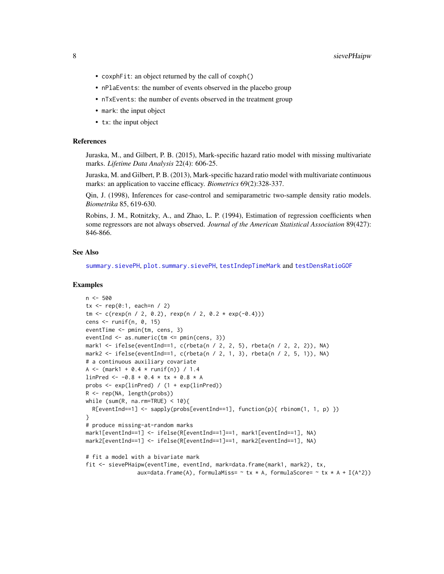- <span id="page-7-0"></span>• coxphFit: an object returned by the call of coxph()
- nPlaEvents: the number of events observed in the placebo group
- nTxEvents: the number of events observed in the treatment group
- mark: the input object
- tx: the input object

#### References

Juraska, M., and Gilbert, P. B. (2015), Mark-specific hazard ratio model with missing multivariate marks. *Lifetime Data Analysis* 22(4): 606-25.

Juraska, M. and Gilbert, P. B. (2013), Mark-specific hazard ratio model with multivariate continuous marks: an application to vaccine efficacy. *Biometrics* 69(2):328-337.

Qin, J. (1998), Inferences for case-control and semiparametric two-sample density ratio models. *Biometrika* 85, 619-630.

Robins, J. M., Rotnitzky, A., and Zhao, L. P. (1994), Estimation of regression coefficients when some regressors are not always observed. *Journal of the American Statistical Association* 89(427): 846-866.

#### See Also

[summary.sievePH](#page-10-1), [plot.summary.sievePH](#page-1-1), [testIndepTimeMark](#page-14-1) and [testDensRatioGOF](#page-12-1)

#### Examples

```
n < -500tx < - rep(0:1, each=n / 2)tm < -c(rexp(n / 2, 0.2), rexp(n / 2, 0.2 * exp(-0.4)))
cens \le- runif(n, 0, 15)
eventTime <- pmin(tm, cens, 3)
eventInd <- as.numeric(tm <= pmin(cens, 3))
mark1 <- ifelse(eventInd==1, c(rbeta(n / 2, 2, 5), rbeta(n / 2, 2, 2)), NA)
mark2 \le ifelse(eventInd==1, c(rbeta(n / 2, 1, 3), rbeta(n / 2, 5, 1)), NA)
# a continuous auxiliary covariate
A <- (mark1 + 0.4 * runif(n)) / 1.4linPred \leftarrow -0.8 + 0.4 \times tx + 0.8 \times Aprobs <- exp(linPred) / (1 + exp(linPred))
R <- rep(NA, length(probs))
while (sum(R, na.rm=TRUE) < 10){
  R[eventInd==1] <- sapply(probs[eventInd==1], function(p){ rbinom(1, 1, p) })
}
# produce missing-at-random marks
mark1[eventInd==1] <- ifelse(R[eventInd==1]==1, mark1[eventInd==1], NA)
mark2[eventInd==1] <- ifelse(R[eventInd==1]==1, mark2[eventInd==1], NA)
# fit a model with a bivariate mark
fit <- sievePHaipw(eventTime, eventInd, mark=data.frame(mark1, mark2), tx,
```
aux=data.frame(A), formulaMiss=  $\sim$  tx  $\star$  A, formulaScore=  $\sim$  tx  $\star$  A + I(A^2))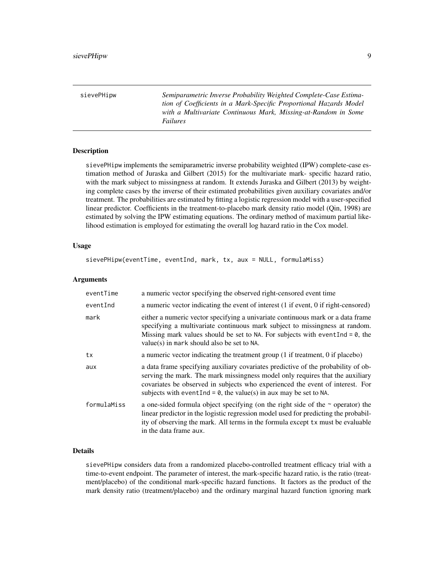<span id="page-8-1"></span><span id="page-8-0"></span>sievePHipw *Semiparametric Inverse Probability Weighted Complete-Case Estimation of Coefficients in a Mark-Specific Proportional Hazards Model with a Multivariate Continuous Mark, Missing-at-Random in Some Failures*

#### Description

sievePHipw implements the semiparametric inverse probability weighted (IPW) complete-case estimation method of Juraska and Gilbert (2015) for the multivariate mark- specific hazard ratio, with the mark subject to missingness at random. It extends Juraska and Gilbert (2013) by weighting complete cases by the inverse of their estimated probabilities given auxiliary covariates and/or treatment. The probabilities are estimated by fitting a logistic regression model with a user-specified linear predictor. Coefficients in the treatment-to-placebo mark density ratio model (Qin, 1998) are estimated by solving the IPW estimating equations. The ordinary method of maximum partial likelihood estimation is employed for estimating the overall log hazard ratio in the Cox model.

#### Usage

sievePHipw(eventTime, eventInd, mark, tx, aux = NULL, formulaMiss)

#### Arguments

| eventTime   | a numeric vector specifying the observed right-censored event time                                                                                                                                                                                                                                                           |
|-------------|------------------------------------------------------------------------------------------------------------------------------------------------------------------------------------------------------------------------------------------------------------------------------------------------------------------------------|
| eventInd    | a numeric vector indicating the event of interest (1 if event, 0 if right-censored)                                                                                                                                                                                                                                          |
| mark        | either a numeric vector specifying a univariate continuous mark or a data frame<br>specifying a multivariate continuous mark subject to missingness at random.<br>Missing mark values should be set to NA. For subjects with event Ind = $\theta$ , the<br>$value(s)$ in mark should also be set to NA.                      |
| tx          | a numeric vector indicating the treatment group (1 if treatment, 0 if placebo)                                                                                                                                                                                                                                               |
| aux         | a data frame specifying auxiliary covariates predictive of the probability of ob-<br>serving the mark. The mark missingness model only requires that the auxiliary<br>covariates be observed in subjects who experienced the event of interest. For<br>subjects with event $Ind = 0$ , the value(s) in aux may be set to NA. |
| formulaMiss | a one-sided formula object specifying (on the right side of the $\sim$ operator) the<br>linear predictor in the logistic regression model used for predicting the probabil-<br>ity of observing the mark. All terms in the formula except tx must be evaluable<br>in the data frame aux.                                     |

#### Details

sievePHipw considers data from a randomized placebo-controlled treatment efficacy trial with a time-to-event endpoint. The parameter of interest, the mark-specific hazard ratio, is the ratio (treatment/placebo) of the conditional mark-specific hazard functions. It factors as the product of the mark density ratio (treatment/placebo) and the ordinary marginal hazard function ignoring mark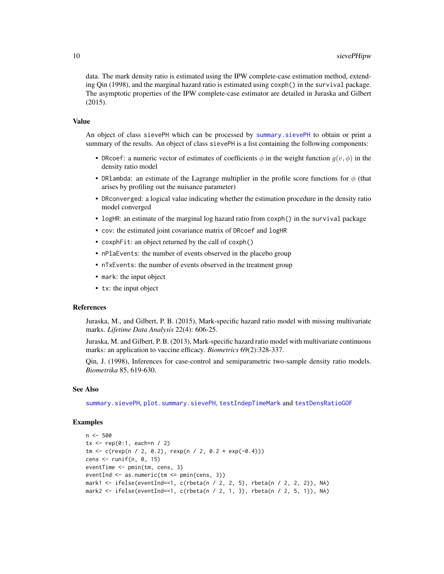<span id="page-9-0"></span>data. The mark density ratio is estimated using the IPW complete-case estimation method, extending Qin (1998), and the marginal hazard ratio is estimated using coxph() in the survival package. The asymptotic properties of the IPW complete-case estimator are detailed in Juraska and Gilbert (2015).

#### Value

An object of class sievePH which can be processed by [summary.sievePH](#page-10-1) to obtain or print a summary of the results. An object of class sievePH is a list containing the following components:

- DRcoef: a numeric vector of estimates of coefficients  $\phi$  in the weight function  $g(v, \phi)$  in the density ratio model
- DR1ambda: an estimate of the Lagrange multiplier in the profile score functions for  $\phi$  (that arises by profiling out the nuisance parameter)
- DRconverged: a logical value indicating whether the estimation procedure in the density ratio model converged
- logHR: an estimate of the marginal log hazard ratio from coxph() in the survival package
- cov: the estimated joint covariance matrix of DRcoef and logHR
- coxphFit: an object returned by the call of coxph()
- nPlaEvents: the number of events observed in the placebo group
- nTxEvents: the number of events observed in the treatment group
- mark: the input object
- tx: the input object

#### References

Juraska, M., and Gilbert, P. B. (2015), Mark-specific hazard ratio model with missing multivariate marks. *Lifetime Data Analysis* 22(4): 606-25.

Juraska, M. and Gilbert, P. B. (2013), Mark-specific hazard ratio model with multivariate continuous marks: an application to vaccine efficacy. *Biometrics* 69(2):328-337.

Qin, J. (1998), Inferences for case-control and semiparametric two-sample density ratio models. *Biometrika* 85, 619-630.

#### See Also

[summary.sievePH](#page-10-1), [plot.summary.sievePH](#page-1-1), [testIndepTimeMark](#page-14-1) and [testDensRatioGOF](#page-12-1)

#### Examples

```
n < -500tx < - rep(0:1, each=n / 2)tm < -c(rexp(n / 2, 0.2), rexp(n / 2, 0.2 * exp(-0.4)))
cens \le runif(n, 0, 15)
eventTime <- pmin(tm, cens, 3)
eventInd <- as.numeric(tm <= pmin(cens, 3))
mark1 <- ifelse(eventInd==1, c(rbeta(n / 2, 2, 5), rbeta(n / 2, 2, 2)), NA)
mark2 \le ifelse(eventInd==1, c(rbeta(n / 2, 1, 3), rbeta(n / 2, 5, 1)), NA)
```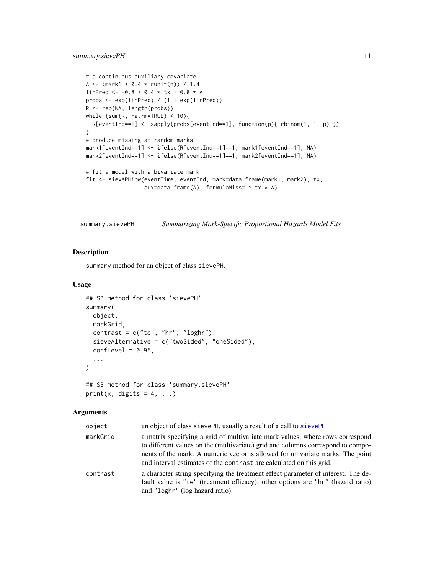#### <span id="page-10-0"></span>summary.sievePH 11

```
# a continuous auxiliary covariate
A <- (mark1 + 0.4 * runif(n)) / 1.4
linPred <- -0.8 + 0.4 * tx + 0.8 * A
probs <- exp(linPred) / (1 + exp(linPred))
R <- rep(NA, length(probs))
while (sum(R, na.rm=TRUE) < 10){
  R[eventInd==1] <- sapply(probs[eventInd==1], function(p){ rbinom(1, 1, p) })
}
# produce missing-at-random marks
mark1[eventInd==1] <- ifelse(R[eventInd==1]==1, mark1[eventInd==1], NA)
mark2[eventInd==1] <- ifelse(R[eventInd==1]==1, mark2[eventInd==1], NA)
# fit a model with a bivariate mark
fit <- sievePHipw(eventTime, eventInd, mark=data.frame(mark1, mark2), tx,
                  aux=data.frame(A), formulaMiss= \sim tx \star A)
```
<span id="page-10-1"></span>summary.sievePH *Summarizing Mark-Specific Proportional Hazards Model Fits*

#### Description

summary method for an object of class sievePH.

#### Usage

```
## S3 method for class 'sievePH'
summary(
 object,
 markGrid,
 contrast = c("te", "hr", "loghr"),sieveAlternative = c("twoSided", "oneSided"),
 confLevel = 0.95,
  ...
\mathcal{L}## S3 method for class 'summary.sievePH'
```

```
print(x, digits = 4, ...)
```
#### Arguments

| object   | an object of class sievePH, usually a result of a call to sievePH                                                                                                                                                                                                                                                         |
|----------|---------------------------------------------------------------------------------------------------------------------------------------------------------------------------------------------------------------------------------------------------------------------------------------------------------------------------|
| markGrid | a matrix specifying a grid of multivariate mark values, where rows correspond<br>to different values on the (multivariate) grid and columns correspond to compo-<br>nents of the mark. A numeric vector is allowed for univariate marks. The point<br>and interval estimates of the contrast are calculated on this grid. |
| contrast | a character string specifying the treatment effect parameter of interest. The de-<br>fault value is "te" (treatment efficacy); other options are "hr" (hazard ratio)<br>and "loghr" (log hazard ratio).                                                                                                                   |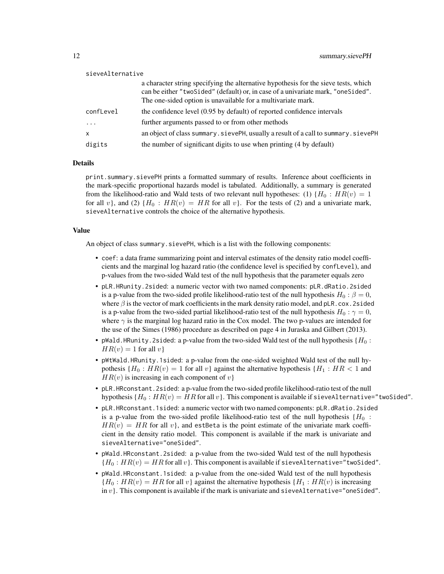| sieveAlternative |                                                                                                                                                                                                                                           |
|------------------|-------------------------------------------------------------------------------------------------------------------------------------------------------------------------------------------------------------------------------------------|
|                  | a character string specifying the alternative hypothesis for the sieve tests, which<br>can be either "two Sided" (default) or, in case of a univariate mark, "one Sided".<br>The one-sided option is unavailable for a multivariate mark. |
| confLevel        | the confidence level (0.95 by default) of reported confidence intervals                                                                                                                                                                   |
| $\cdot$          | further arguments passed to or from other methods                                                                                                                                                                                         |
| $\mathsf{x}$     | an object of class summary. sievePH, usually a result of a call to summary. sievePH                                                                                                                                                       |
| digits           | the number of significant digits to use when printing (4 by default)                                                                                                                                                                      |

#### Details

print.summary.sievePH prints a formatted summary of results. Inference about coefficients in the mark-specific proportional hazards model is tabulated. Additionally, a summary is generated from the likelihood-ratio and Wald tests of two relevant null hypotheses: (1)  $\{H_0: HR(v) = 1\}$ for all v), and (2)  $\{H_0 : HR(v) = HR$  for all v). For the tests of (2) and a univariate mark, sieveAlternative controls the choice of the alternative hypothesis.

#### Value

An object of class summary.sievePH, which is a list with the following components:

- coef: a data frame summarizing point and interval estimates of the density ratio model coefficients and the marginal log hazard ratio (the confidence level is specified by confLevel), and p-values from the two-sided Wald test of the null hypothesis that the parameter equals zero
- pLR.HRunity.2sided: a numeric vector with two named components: pLR.dRatio.2sided is a p-value from the two-sided profile likelihood-ratio test of the null hypothesis  $H_0 : \beta = 0$ , where  $\beta$  is the vector of mark coefficients in the mark density ratio model, and pLR.cox.2sided is a p-value from the two-sided partial likelihood-ratio test of the null hypothesis  $H_0 : \gamma = 0$ , where  $\gamma$  is the marginal log hazard ratio in the Cox model. The two p-values are intended for the use of the Simes (1986) procedure as described on page 4 in Juraska and Gilbert (2013).
- pWald.HRunity.2sided: a p-value from the two-sided Wald test of the null hypothesis { $H_0$  :  $HR(v) = 1$  for all v
- pWtWald.HRunity.1sided: a p-value from the one-sided weighted Wald test of the null hypothesis { $H_0$ :  $HR(v) = 1$  for all v} against the alternative hypothesis { $H_1$ :  $HR < 1$  and  $HR(v)$  is increasing in each component of v}
- pLR.HRconstant.2sided: a p-value from the two-sided profile likelihood-ratio test of the null hypothesis { $H_0$ :  $HR(v) = HR$  for all v}. This component is available if sieveAlternative="twoSided".
- pLR.HRconstant.1sided: a numeric vector with two named components: pLR.dRatio.2sided is a p-value from the two-sided profile likelihood-ratio test of the null hypothesis  ${H_0$ :  $HR(v) = HR$  for all v, and est Beta is the point estimate of the univariate mark coefficient in the density ratio model. This component is available if the mark is univariate and sieveAlternative="oneSided".
- pWald.HRconstant.2sided: a p-value from the two-sided Wald test of the null hypothesis  ${H_0: HR(v) = HR$  for all  $v}$ . This component is available if sieveAlternative="twoSided".
- pWald.HRconstant.1sided: a p-value from the one-sided Wald test of the null hypothesis  ${H_0: HR(v) = HR$  for all v against the alternative hypothesis  ${H_1: HR(v)}$  is increasing in  $v$ }. This component is available if the mark is univariate and sieveAlternative="oneSided".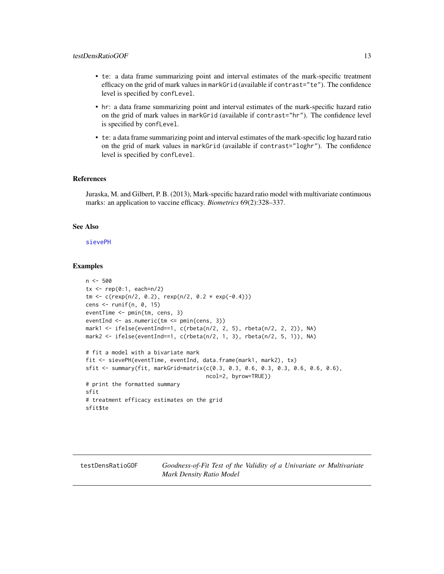- <span id="page-12-0"></span>• te: a data frame summarizing point and interval estimates of the mark-specific treatment efficacy on the grid of mark values in markGrid (available if contrast="te"). The confidence level is specified by confLevel.
- hr: a data frame summarizing point and interval estimates of the mark-specific hazard ratio on the grid of mark values in markGrid (available if contrast="hr"). The confidence level is specified by confLevel.
- te: a data frame summarizing point and interval estimates of the mark-specific log hazard ratio on the grid of mark values in markGrid (available if contrast="loghr"). The confidence level is specified by confLevel.

#### References

Juraska, M. and Gilbert, P. B. (2013), Mark-specific hazard ratio model with multivariate continuous marks: an application to vaccine efficacy. *Biometrics* 69(2):328–337.

#### See Also

#### [sievePH](#page-3-1)

#### Examples

```
n < -500tx \leq rep(0:1, each=n/2)
tm < -c(\text{resp}(n/2, 0.2), \text{resp}(n/2, 0.2 * \text{ exp}(-0.4)))cens \le runif(n, 0, 15)
eventTime <- pmin(tm, cens, 3)
eventInd <- as.numeric(tm <= pmin(cens, 3))
mark1 <- ifelse(eventInd==1, c(rbeta(n/2, 2, 5), rbeta(n/2, 2, 2)), NA)
mark2 <- ifelse(eventInd==1, c(rbeta(n/2, 1, 3), rbeta(n/2, 5, 1)), NA)
# fit a model with a bivariate mark
fit <- sievePH(eventTime, eventInd, data.frame(mark1, mark2), tx)
sfit <- summary(fit, markGrid=matrix(c(0.3, 0.3, 0.6, 0.3, 0.3, 0.6, 0.6, 0.6),
                                      ncol=2, byrow=TRUE))
# print the formatted summary
sfit
# treatment efficacy estimates on the grid
sfit$te
```
<span id="page-12-1"></span>testDensRatioGOF *Goodness-of-Fit Test of the Validity of a Univariate or Multivariate Mark Density Ratio Model*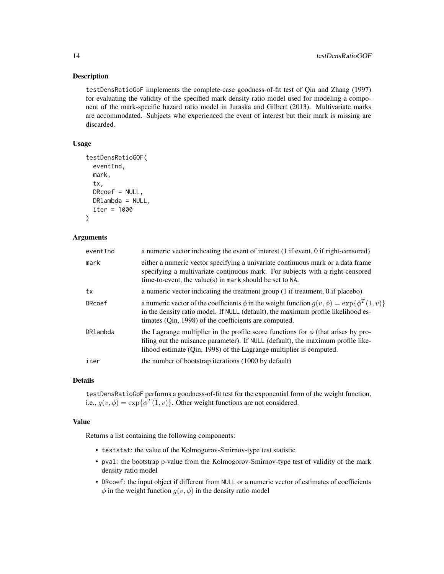#### **Description**

testDensRatioGoF implements the complete-case goodness-of-fit test of Qin and Zhang (1997) for evaluating the validity of the specified mark density ratio model used for modeling a component of the mark-specific hazard ratio model in Juraska and Gilbert (2013). Multivariate marks are accommodated. Subjects who experienced the event of interest but their mark is missing are discarded.

#### Usage

```
testDensRatioGOF(
  eventInd,
 mark,
  tx,
  DRcoef = NULL,
 DRlambda = NULL,
  iter = 1000
)
```
#### Arguments

| eventInd | a numeric vector indicating the event of interest (1 if event, 0 if right-censored)                                                                                                                                                                    |
|----------|--------------------------------------------------------------------------------------------------------------------------------------------------------------------------------------------------------------------------------------------------------|
| mark     | either a numeric vector specifying a univariate continuous mark or a data frame<br>specifying a multivariate continuous mark. For subjects with a right-censored<br>time-to-event, the value(s) in mark should be set to NA.                           |
| tx       | a numeric vector indicating the treatment group (1 if treatment, 0 if placebo)                                                                                                                                                                         |
| DRcoef   | a numeric vector of the coefficients $\phi$ in the weight function $g(v, \phi) = \exp{\{\phi^T(1, v)\}}$<br>in the density ratio model. If NULL (default), the maximum profile likelihood es-<br>timates (Qin, 1998) of the coefficients are computed. |
| DRlambda | the Lagrange multiplier in the profile score functions for $\phi$ (that arises by pro-<br>filing out the nuisance parameter). If NULL (default), the maximum profile like-<br>lihood estimate (Qin, 1998) of the Lagrange multiplier is computed.      |
| iter     | the number of bootstrap iterations (1000 by default)                                                                                                                                                                                                   |

#### Details

testDensRatioGoF performs a goodness-of-fit test for the exponential form of the weight function, i.e.,  $g(v, \phi) = \exp{\{\phi^T(1, v)\}}$ . Other weight functions are not considered.

#### Value

Returns a list containing the following components:

- teststat: the value of the Kolmogorov-Smirnov-type test statistic
- pval: the bootstrap p-value from the Kolmogorov-Smirnov-type test of validity of the mark density ratio model
- DRcoef: the input object if different from NULL or a numeric vector of estimates of coefficients  $\phi$  in the weight function  $g(v, \phi)$  in the density ratio model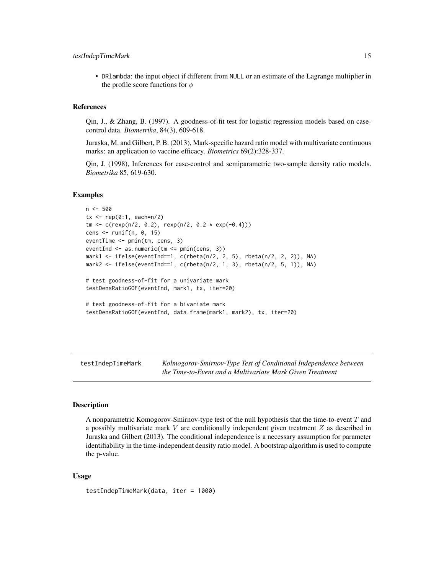<span id="page-14-0"></span>• DRlambda: the input object if different from NULL or an estimate of the Lagrange multiplier in the profile score functions for  $\phi$ 

#### References

Qin, J., & Zhang, B. (1997). A goodness-of-fit test for logistic regression models based on casecontrol data. *Biometrika*, 84(3), 609-618.

Juraska, M. and Gilbert, P. B. (2013), Mark-specific hazard ratio model with multivariate continuous marks: an application to vaccine efficacy. *Biometrics* 69(2):328-337.

Qin, J. (1998), Inferences for case-control and semiparametric two-sample density ratio models. *Biometrika* 85, 619-630.

#### Examples

```
n < -500tx \leq rep(0:1, each=n/2)
tm <- c(rexp(n/2, 0.2), rexp(n/2, 0.2 * exp(-0.4)))
cens \le runif(n, 0, 15)
eventTime <- pmin(tm, cens, 3)
eventInd <- as.numeric(tm <= pmin(cens, 3))
mark1 <- ifelse(eventInd==1, c(rbeta(n/2, 2, 5), rbeta(n/2, 2, 2)), NA)
mark2 <- ifelse(eventInd==1, c(rbeta(n/2, 1, 3), rbeta(n/2, 5, 1)), NA)
# test goodness-of-fit for a univariate mark
testDensRatioGOF(eventInd, mark1, tx, iter=20)
# test goodness-of-fit for a bivariate mark
testDensRatioGOF(eventInd, data.frame(mark1, mark2), tx, iter=20)
```
<span id="page-14-1"></span>testIndepTimeMark *Kolmogorov-Smirnov-Type Test of Conditional Independence between the Time-to-Event and a Multivariate Mark Given Treatment*

#### **Description**

A nonparametric Komogorov-Smirnov-type test of the null hypothesis that the time-to-event T and a possibly multivariate mark V are conditionally independent given treatment  $Z$  as described in Juraska and Gilbert (2013). The conditional independence is a necessary assumption for parameter identifiability in the time-independent density ratio model. A bootstrap algorithm is used to compute the p-value.

#### Usage

testIndepTimeMark(data, iter = 1000)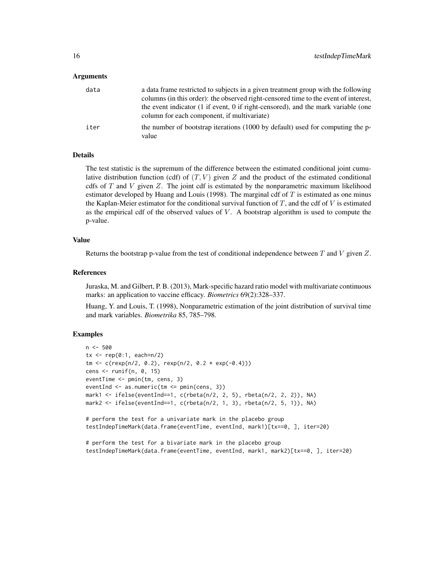#### Arguments

| data | a data frame restricted to subjects in a given treatment group with the following<br>columns (in this order): the observed right-censored time to the event of interest,<br>the event indicator (1 if event, 0 if right-censored), and the mark variable (one<br>column for each component, if multivariate) |
|------|--------------------------------------------------------------------------------------------------------------------------------------------------------------------------------------------------------------------------------------------------------------------------------------------------------------|
| iter | the number of bootstrap iterations (1000 by default) used for computing the p-<br>value                                                                                                                                                                                                                      |

#### Details

The test statistic is the supremum of the difference between the estimated conditional joint cumulative distribution function (cdf) of  $(T, V)$  given Z and the product of the estimated conditional cdfs of  $T$  and  $V$  given  $Z$ . The joint cdf is estimated by the nonparametric maximum likelihood estimator developed by Huang and Louis (1998). The marginal cdf of  $T$  is estimated as one minus the Kaplan-Meier estimator for the conditional survival function of  $T$ , and the cdf of  $V$  is estimated as the empirical cdf of the observed values of  $V$ . A bootstrap algorithm is used to compute the p-value.

#### Value

Returns the bootstrap p-value from the test of conditional independence between  $T$  and  $V$  given  $Z$ .

#### References

Juraska, M. and Gilbert, P. B. (2013), Mark-specific hazard ratio model with multivariate continuous marks: an application to vaccine efficacy. *Biometrics* 69(2):328–337.

Huang, Y. and Louis, T. (1998), Nonparametric estimation of the joint distribution of survival time and mark variables. *Biometrika* 85, 785–798.

#### Examples

```
n <- 500
tx < - rep(0:1, each=n/2)tm < c(rexp(n/2, 0.2), rexp(n/2, 0.2 * exp(-0.4)))cens <- runif(n, 0, 15)
eventTime <- pmin(tm, cens, 3)
eventInd <- as.numeric(tm <= pmin(cens, 3))
mark1 <- ifelse(eventInd==1, c(rbeta(n/2, 2, 5), rbeta(n/2, 2, 2)), NA)
mark2 <- ifelse(eventInd==1, c(rbeta(n/2, 1, 3), rbeta(n/2, 5, 1)), NA)
# perform the test for a univariate mark in the placebo group
testIndepTimeMark(data.frame(eventTime, eventInd, mark1)[tx==0, ], iter=20)
# perform the test for a bivariate mark in the placebo group
testIndepTimeMark(data.frame(eventTime, eventInd, mark1, mark2)[tx==0, ], iter=20)
```